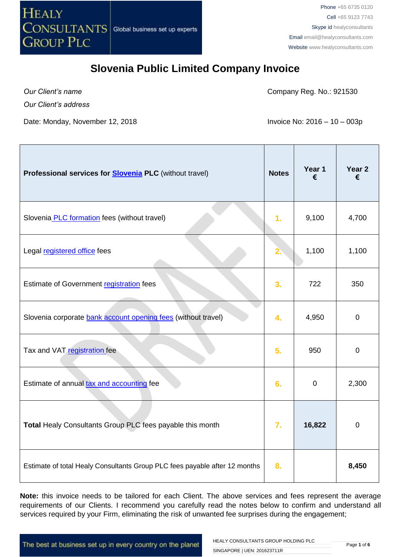

*Our Client's name*

Company Reg. No.: 921530

*Our Client's address*

Date: Monday, November 12, 2018 **Invoice No: 2016 – 10 – 003p** 

| Professional services for <b>Slovenia PLC</b> (without travel)             | <b>Notes</b>   | Year 1<br>€ | Year <sub>2</sub><br>€ |
|----------------------------------------------------------------------------|----------------|-------------|------------------------|
| Slovenia PLC formation fees (without travel)                               | 1 <sub>r</sub> | 9,100       | 4,700                  |
| Legal registered office fees                                               |                | 1,100       | 1,100                  |
| Estimate of Government registration fees                                   | 3.             | 722         | 350                    |
| Slovenia corporate bank account opening fees (without travel)              | 4.             | 4,950       | $\mathbf 0$            |
| Tax and VAT registration fee                                               | 5.             | 950         | $\mathbf 0$            |
| Estimate of annual tax and accounting fee                                  | 6.             | $\mathbf 0$ | 2,300                  |
| Total Healy Consultants Group PLC fees payable this month                  | 7.             | 16,822      | $\mathbf 0$            |
| Estimate of total Healy Consultants Group PLC fees payable after 12 months | 8.             |             | 8,450                  |

Note: this invoice needs to be tailored for each Client. The above services and fees represent the average requirements of our Clients. I recommend you carefully read the notes below to confirm and understand all services required by your Firm, eliminating the risk of unwanted fee surprises during the engagement;

The best at business set up in every country on the planet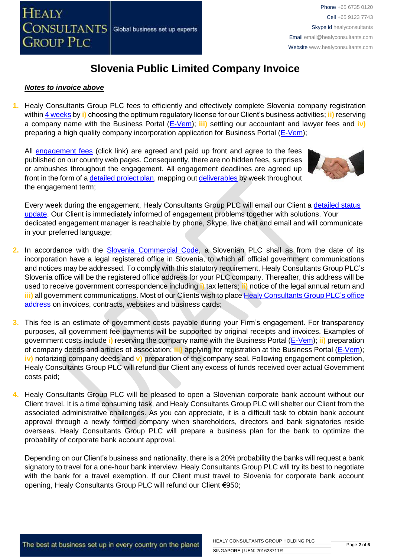#### *Notes to invoice above*

**1.** Healy Consultants Group PLC fees to efficiently and effectively complete Slovenia company registration within [4 weeks](http://www.healyconsultants.com/slovenia-company-registration/fees-timelines/#timelines) by **i)** choosing the optimum regulatory license for our Client's business activities; **ii)** reserving a company name with the Business Portal [\(E-Vem\)](http://evem.gov.si/evem/drzavljani/zacetna.evem); **iii)** settling our accountant and lawyer fees and **iv)** preparing a high quality company incorporation application for Business Portal [\(E-Vem\)](http://evem.gov.si/evem/drzavljani/zacetna.evem);

All [engagement fees](http://www.healyconsultants.com/company-registration-fees/) (click link) are agreed and paid up front and agree to the fees published on our country web pages. Consequently, there are no hidden fees, surprises or ambushes throughout the engagement. All engagement deadlines are agreed up front in the form of a [detailed project plan,](http://www.healyconsultants.com/index-important-links/example-project-plan/) mapping ou[t deliverables](http://www.healyconsultants.com/deliverables-to-our-clients/) by week throughout the engagement term;



Every week during the engagement, Healy Consultants Group PLC will email our Client a detailed status [update.](http://www.healyconsultants.com/index-important-links/weekly-engagement-status-email/) Our Client is immediately informed of engagement problems together with solutions. Your dedicated engagement manager is reachable by phone, Skype, live chat and email and will communicate in your preferred language;

- 2. In accordance with the [Slovenia Commercial Code,](http://www.justiniano.com/codigos_juridicos/cheka/codigo_comercial.pdf) a Slovenian PLC shall as from the date of its incorporation have a legal registered office in Slovenia, to which all official government communications and notices may be addressed. To comply with this statutory requirement, Healy Consultants Group PLC's Slovenia office will be the registered office address for your PLC company. Thereafter, this address will be used to receive government correspondence including **i)** tax letters; **ii)** notice of the legal annual return and **iii)** all government communications. Most of our Clients wish to plac[e Healy Consultants Group PLC's](http://www.healyconsultants.com/corporate-outsourcing-services/company-secretary-and-legal-registered-office/) office [address](http://www.healyconsultants.com/corporate-outsourcing-services/company-secretary-and-legal-registered-office/) on invoices, contracts, websites and business cards;
- **3.** This fee is an estimate of government costs payable during your Firm's engagement. For transparency purposes, all government fee payments will be supported by original receipts and invoices. Examples of government costs include **i)** reserving the company name with the Business Portal [\(E-Vem\)](http://evem.gov.si/evem/drzavljani/zacetna.evem); **ii)** preparation of company deeds and articles of association; **iii)** applying for registration at the Business Portal [\(E-Vem\)](http://evem.gov.si/evem/drzavljani/zacetna.evem); **iv)** notarizing company deeds and **v)** preparation of the company seal. Following engagement completion, Healy Consultants Group PLC will refund our Client any excess of funds received over actual Government costs paid;
- **4.** Healy Consultants Group PLC will be pleased to open a Slovenian corporate bank account without our Client travel. It is a time consuming task, and Healy Consultants Group PLC will shelter our Client from the associated administrative challenges. As you can appreciate, it is a difficult task to obtain bank account approval through a newly formed company when shareholders, directors and bank signatories reside overseas. Healy Consultants Group PLC will prepare a business plan for the bank to optimize the probability of corporate bank account approval.

Depending on our Client's business and nationality, there is a 20% probability the banks will request a bank signatory to travel for a one-hour bank interview. Healy Consultants Group PLC will try its best to negotiate with the bank for a travel exemption. If our Client must travel to Slovenia for corporate bank account opening, Healy Consultants Group PLC will refund our Client €950;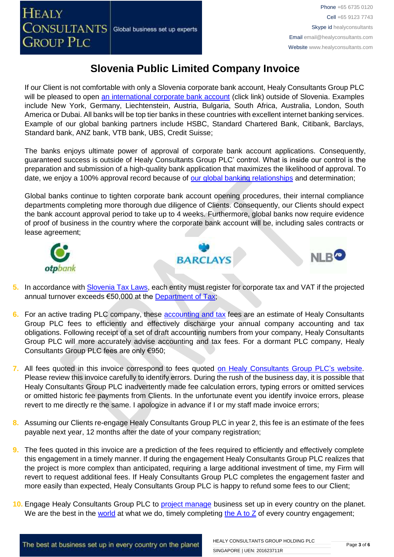NLB<sup>C</sup>

# **Slovenia Public Limited Company Invoice**

If our Client is not comfortable with only a Slovenia corporate bank account, Healy Consultants Group PLC will be pleased to open [an international corporate bank account](http://www.healyconsultants.com/international-banking/) (click link) outside of Slovenia. Examples include New York, Germany, Liechtenstein, Austria, Bulgaria, South Africa, Australia, London, South America or Dubai. All banks will be top tier banks in these countries with excellent internet banking services. Example of our global banking partners include HSBC, Standard Chartered Bank, Citibank, Barclays, Standard bank, ANZ bank, VTB bank, UBS, Credit Suisse;

The banks enjoys ultimate power of approval of corporate bank account applications. Consequently, guaranteed success is outside of Healy Consultants Group PLC' control. What is inside our control is the preparation and submission of a high-quality bank application that maximizes the likelihood of approval. To date, we enjoy a 100% approval record because of [our global banking relationships](http://www.healyconsultants.com/international-banking/corporate-accounts/) and determination;

Global banks continue to tighten corporate bank account opening procedures, their internal compliance departments completing more thorough due diligence of Clients. Consequently, our Clients should expect the bank account approval period to take up to 4 weeks. Furthermore, global banks now require evidence of proof of business in the country where the corporate bank account will be, including sales contracts or lease agreement;

**BARCLAYS** 





- **6.** For an active trading PLC company, these [accounting and tax](http://www.healyconsultants.com/slovenia-company-registration/accounting-legal/) fees are an estimate of Healy Consultants Group PLC fees to efficiently and effectively discharge your annual company accounting and tax obligations. Following receipt of a set of draft accounting numbers from your company, Healy Consultants Group PLC will more accurately advise accounting and tax fees. For a dormant PLC company, Healy Consultants Group PLC fees are only €950;
- **7.** All fees quoted in this invoice correspond to fees quoted [on Healy Consultants Group PLC's](http://www.healyconsultants.com/company-registration-fees/) website. Please review this invoice carefully to identify errors. During the rush of the business day, it is possible that Healy Consultants Group PLC inadvertently made fee calculation errors, typing errors or omitted services or omitted historic fee payments from Clients. In the unfortunate event you identify invoice errors, please revert to me directly re the same. I apologize in advance if I or my staff made invoice errors;
- **8.** Assuming our Clients re-engage Healy Consultants Group PLC in year 2, this fee is an estimate of the fees payable next year, 12 months after the date of your company registration;
- **9.** The fees quoted in this invoice are a prediction of the fees required to efficiently and effectively complete this engagement in a timely manner. If during the engagement Healy Consultants Group PLC realizes that the project is more complex than anticipated, requiring a large additional investment of time, my Firm will revert to request additional fees. If Healy Consultants Group PLC completes the engagement faster and more easily than expected, Healy Consultants Group PLC is happy to refund some fees to our Client;
- **10.** Engage Healy Consultants Group PLC to [project manage](http://www.healyconsultants.com/project-manage-engagements/) business set up in every country on the planet. We are the best in the [world](http://www.healyconsultants.com/best-in-the-world/) at what we do, timely completing the  $A$  to  $Z$  of every country engagement;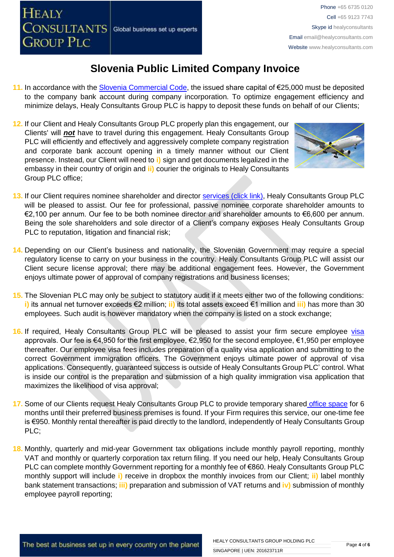- **11.** In accordance with the [Slovenia Commercial Code,](http://poslovniportal.si/Doing_Business_Slovenia.php) the issued share capital of €25,000 must be deposited to the company bank account during company incorporation. To optimize engagement efficiency and minimize delays, Healy Consultants Group PLC is happy to deposit these funds on behalf of our Clients;
- **12.** If our Client and Healy Consultants Group PLC properly plan this engagement, our Clients' will *not* have to travel during this engagement. Healy Consultants Group PLC will efficiently and effectively and aggressively complete company registration and corporate bank account opening in a timely manner without our Client presence. Instead, our Client will need to **i)** sign and get documents legalized in the embassy in their country of origin and **ii)** courier the originals to Healy Consultants Group PLC office;



- **13.** If our Client requires nominee shareholder and director services [\(click link\),](http://www.healyconsultants.com/corporate-outsourcing-services/nominee-shareholders-directors/) Healy Consultants Group PLC will be pleased to assist. Our fee for professional, passive nominee corporate shareholder amounts to €2,100 per annum. Our fee to be both nominee director and shareholder amounts to €6,600 per annum. Being the sole shareholders and sole director of a Client's company exposes Healy Consultants Group PLC to reputation, litigation and financial risk;
- **14.** Depending on our Client's business and nationality, the Slovenian Government may require a special regulatory license to carry on your business in the country. Healy Consultants Group PLC will assist our Client secure license approval; there may be additional engagement fees. However, the Government enjoys ultimate power of approval of company registrations and business licenses;
- **15.** The Slovenian PLC may only be subject to statutory audit if it meets either two of the following conditions: **i)** its annual net turnover exceeds €2 million; **ii)** its total assets exceed €1 million and **iii)** has more than 30 employees. Such audit is however mandatory when the company is listed on a stock exchange;
- 16. If required, Healy Consultants Group PLC will be pleased to assist your firm secure employee [visa](http://www.healyconsultants.com/support-services/) approvals. Our fee is €4,950 for the first employee, €2,950 for the second employee, €1,950 per employee thereafter. Our employee visa fees includes preparation of a quality visa application and submitting to the correct Government immigration officers. The Government enjoys ultimate power of approval of visa applications. Consequently, guaranteed success is outside of Healy Consultants Group PLC' control. What is inside our control is the preparation and submission of a high quality immigration visa application that maximizes the likelihood of visa approval;
- **17.** Some of our Clients request Healy Consultants Group PLC to provide temporary shared [office space](http://www.healyconsultants.com/virtual-office/) for 6 months until their preferred business premises is found. If your Firm requires this service, our one-time fee is €950. Monthly rental thereafter is paid directly to the landlord, independently of Healy Consultants Group PLC;
- **18.** Monthly, quarterly and mid-year Government tax obligations include monthly payroll reporting, monthly VAT and monthly or quarterly corporation tax return filing. If you need our help, Healy Consultants Group PLC can complete monthly Government reporting for a monthly fee of €860. Healy Consultants Group PLC monthly support will include **i)** receive in dropbox the monthly invoices from our Client; **ii)** label monthly bank statement transactions; **iii)** preparation and submission of VAT returns and **iv)** submission of monthly employee payroll reporting;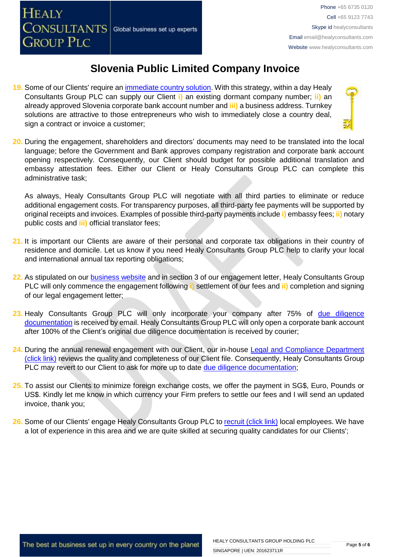- **19.** Some of our Clients' require an [immediate country solution.](http://www.healyconsultants.com/turnkey-solutions/) With this strategy, within a day Healy Consultants Group PLC can supply our Client **i)** an existing dormant company number; **ii)** an already approved Slovenia corporate bank account number and **iii)** a business address. Turnkey solutions are attractive to those entrepreneurs who wish to immediately close a country deal, sign a contract or invoice a customer;
- **20.** During the engagement, shareholders and directors' documents may need to be translated into the local language; before the Government and Bank approves company registration and corporate bank account opening respectively. Consequently, our Client should budget for possible additional translation and embassy attestation fees. Either our Client or Healy Consultants Group PLC can complete this administrative task;

As always, Healy Consultants Group PLC will negotiate with all third parties to eliminate or reduce additional engagement costs. For transparency purposes, all third-party fee payments will be supported by original receipts and invoices. Examples of possible third-party payments include **i)** embassy fees; **ii)** notary public costs and **iii)** official translator fees;

- **21.** It is important our Clients are aware of their personal and corporate tax obligations in their country of residence and domicile. Let us know if you need Healy Consultants Group PLC help to clarify your local and international annual tax reporting obligations;
- **22.** As stipulated on our [business website](http://www.healyconsultants.com/) and in section 3 of our engagement letter, Healy Consultants Group PLC will only commence the engagement following **i)** settlement of our fees and **ii)** completion and signing of our legal engagement letter;
- **23.** Healy Consultants Group PLC will only incorporate your company after 75% of [due diligence](http://www.healyconsultants.com/due-diligence/)  [documentation](http://www.healyconsultants.com/due-diligence/) is received by email. Healy Consultants Group PLC will only open a corporate bank account after 100% of the Client's original due diligence documentation is received by courier;
- 24. During the annual renewal engagement with our Client, our in-house Legal and Compliance Department [\(click link\)](http://www.healyconsultants.com/about-us/key-personnel/cai-xin-profile/) reviews the quality and completeness of our Client file. Consequently, Healy Consultants Group PLC may revert to our Client to ask for more up to date [due diligence documentation;](http://www.healyconsultants.com/due-diligence/)
- **25.** To assist our Clients to minimize foreign exchange costs, we offer the payment in SG\$, Euro, Pounds or US\$. Kindly let me know in which currency your Firm prefers to settle our fees and I will send an updated invoice, thank you;
- 26. Some of our Clients' engage Healy Consultants Group PLC t[o recruit \(click link\)](http://www.healyconsultants.com/corporate-outsourcing-services/how-we-help-our-clients-recruit-quality-employees/) local employees. We have a lot of experience in this area and we are quite skilled at securing quality candidates for our Clients';